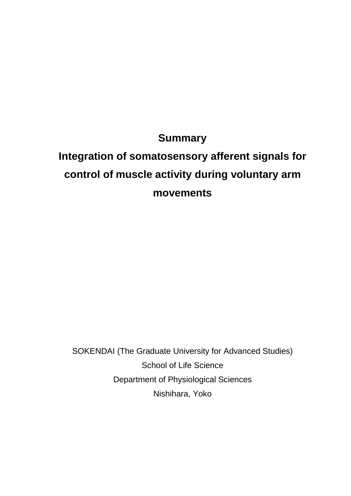### **Summary**

# **Integration of somatosensory afferent signals for control of muscle activity during voluntary arm movements**

SOKENDAI (The Graduate University for Advanced Studies) School of Life Science Department of Physiological Sciences Nishihara, Yoko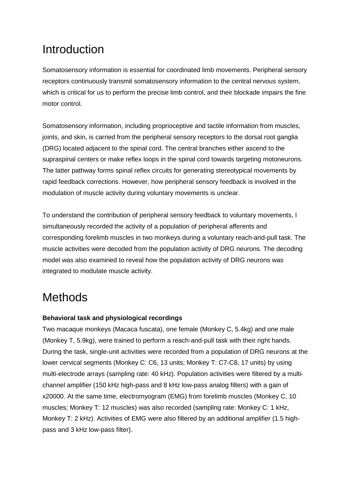# **Introduction**

Somatosensory information is essential for coordinated limb movements. Peripheral sensory receptors continuously transmit somatosensory information to the central nervous system, which is critical for us to perform the precise limb control, and their blockade impairs the fine motor control.

Somatosensory information, including proprioceptive and tactile information from muscles, joints, and skin, is carried from the peripheral sensory receptors to the dorsal root ganglia (DRG) located adjacent to the spinal cord. The central branches either ascend to the supraspinal centers or make reflex loops in the spinal cord towards targeting motoneurons. The latter pathway forms spinal reflex circuits for generating stereotypical movements by rapid feedback corrections. However, how peripheral sensory feedback is involved in the modulation of muscle activity during voluntary movements is unclear.

To understand the contribution of peripheral sensory feedback to voluntary movements, I simultaneously recorded the activity of a population of peripheral afferents and corresponding forelimb muscles in two monkeys during a voluntary reach-and-pull task. The muscle activities were decoded from the population activity of DRG neurons. The decoding model was also examined to reveal how the population activity of DRG neurons was integrated to modulate muscle activity.

# **Methods**

### **Behavioral task and physiological recordings**

Two macaque monkeys (Macaca fuscata), one female (Monkey C, 5.4kg) and one male (Monkey T, 5.9kg), were trained to perform a reach-and-pull task with their right hands. During the task, single-unit activities were recorded from a population of DRG neurons at the lower cervical segments (Monkey C: C6, 13 units; Monkey T: C7-C8, 17 units) by using multi-electrode arrays (sampling rate: 40 kHz). Population activities were filtered by a multichannel amplifier (150 kHz high-pass and 8 kHz low-pass analog filters) with a gain of x20000. At the same time, electromyogram (EMG) from forelimb muscles (Monkey C, 10 muscles; Monkey T: 12 muscles) was also recorded (sampling rate: Monkey C: 1 kHz, Monkey T: 2 kHz). Activities of EMG were also filtered by an additional amplifier (1.5 highpass and 3 kHz low-pass filter).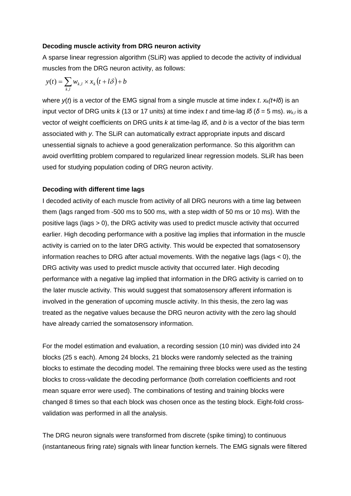### **Decoding muscle activity from DRG neuron activity**

A sparse linear regression algorithm (SLiR) was applied to decode the activity of individual muscles from the DRG neuron activity, as follows:

$$
y(t) = \sum_{k,l} w_{k,l} \times x_k(t + l\delta) + b
$$

where *y*(*t*) is a vector of the EMG signal from a single muscle at time index *t*. *xk(t+lδ*) is an input vector of DRG units *k* (13 or 17 units) at time index *t* and time-lag *lδ* ( $\delta$  = 5 ms).  $w_{k,l}$  is a vector of weight coefficients on DRG units *k* at time-lag *lδ*, and *b* is a vector of the bias term associated with *y*. The SLiR can automatically extract appropriate inputs and discard unessential signals to achieve a good generalization performance. So this algorithm can avoid overfitting problem compared to regularized linear regression models. SLiR has been used for studying population coding of DRG neuron activity.

### **Decoding with different time lags**

I decoded activity of each muscle from activity of all DRG neurons with a time lag between them (lags ranged from -500 ms to 500 ms, with a step width of 50 ms or 10 ms). With the positive lags (lags > 0), the DRG activity was used to predict muscle activity that occurred earlier. High decoding performance with a positive lag implies that information in the muscle activity is carried on to the later DRG activity. This would be expected that somatosensory information reaches to DRG after actual movements. With the negative lags (lags < 0), the DRG activity was used to predict muscle activity that occurred later. High decoding performance with a negative lag implied that information in the DRG activity is carried on to the later muscle activity. This would suggest that somatosensory afferent information is involved in the generation of upcoming muscle activity. In this thesis, the zero lag was treated as the negative values because the DRG neuron activity with the zero lag should have already carried the somatosensory information.

For the model estimation and evaluation, a recording session (10 min) was divided into 24 blocks (25 s each). Among 24 blocks, 21 blocks were randomly selected as the training blocks to estimate the decoding model. The remaining three blocks were used as the testing blocks to cross-validate the decoding performance (both correlation coefficients and root mean square error were used). The combinations of testing and training blocks were changed 8 times so that each block was chosen once as the testing block. Eight-fold crossvalidation was performed in all the analysis.

The DRG neuron signals were transformed from discrete (spike timing) to continuous (instantaneous firing rate) signals with linear function kernels. The EMG signals were filtered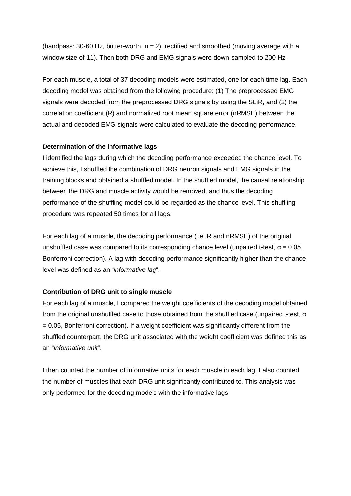(bandpass: 30-60 Hz, butter-worth,  $n = 2$ ), rectified and smoothed (moving average with a window size of 11). Then both DRG and EMG signals were down-sampled to 200 Hz.

For each muscle, a total of 37 decoding models were estimated, one for each time lag. Each decoding model was obtained from the following procedure: (1) The preprocessed EMG signals were decoded from the preprocessed DRG signals by using the SLiR, and (2) the correlation coefficient (R) and normalized root mean square error (nRMSE) between the actual and decoded EMG signals were calculated to evaluate the decoding performance.

### **Determination of the informative lags**

I identified the lags during which the decoding performance exceeded the chance level. To achieve this, I shuffled the combination of DRG neuron signals and EMG signals in the training blocks and obtained a shuffled model. In the shuffled model, the causal relationship between the DRG and muscle activity would be removed, and thus the decoding performance of the shuffling model could be regarded as the chance level. This shuffling procedure was repeated 50 times for all lags.

For each lag of a muscle, the decoding performance (i.e. R and nRMSE) of the original unshuffled case was compared to its corresponding chance level (unpaired t-test,  $\alpha$  = 0.05, Bonferroni correction). A lag with decoding performance significantly higher than the chance level was defined as an "*informative lag*".

### **Contribution of DRG unit to single muscle**

For each lag of a muscle, I compared the weight coefficients of the decoding model obtained from the original unshuffled case to those obtained from the shuffled case (unpaired t-test, α = 0.05, Bonferroni correction). If a weight coefficient was significantly different from the shuffled counterpart, the DRG unit associated with the weight coefficient was defined this as an "*informative unit*".

I then counted the number of informative units for each muscle in each lag. I also counted the number of muscles that each DRG unit significantly contributed to. This analysis was only performed for the decoding models with the informative lags.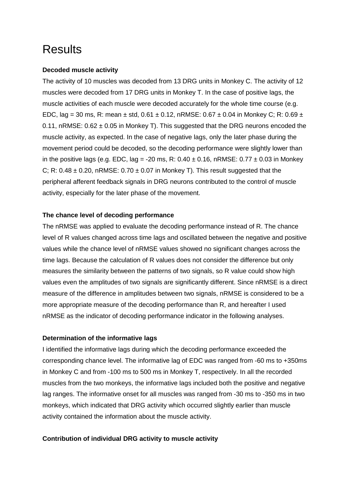### **Results**

### **Decoded muscle activity**

The activity of 10 muscles was decoded from 13 DRG units in Monkey C. The activity of 12 muscles were decoded from 17 DRG units in Monkey T. In the case of positive lags, the muscle activities of each muscle were decoded accurately for the whole time course (e.g. EDC, lag = 30 ms, R: mean ± std,  $0.61 \pm 0.12$ , nRMSE:  $0.67 \pm 0.04$  in Monkey C; R:  $0.69 \pm 0.04$ 0.11, nRMSE:  $0.62 \pm 0.05$  in Monkey T). This suggested that the DRG neurons encoded the muscle activity, as expected. In the case of negative lags, only the later phase during the movement period could be decoded, so the decoding performance were slightly lower than in the positive lags (e.g. EDC, lag = -20 ms, R:  $0.40 \pm 0.16$ , nRMSE:  $0.77 \pm 0.03$  in Monkey C; R:  $0.48 \pm 0.20$ , nRMSE:  $0.70 \pm 0.07$  in Monkey T). This result suggested that the peripheral afferent feedback signals in DRG neurons contributed to the control of muscle activity, especially for the later phase of the movement.

### **The chance level of decoding performance**

The nRMSE was applied to evaluate the decoding performance instead of R. The chance level of R values changed across time lags and oscillated between the negative and positive values while the chance level of nRMSE values showed no significant changes across the time lags. Because the calculation of R values does not consider the difference but only measures the similarity between the patterns of two signals, so R value could show high values even the amplitudes of two signals are significantly different. Since nRMSE is a direct measure of the difference in amplitudes between two signals, nRMSE is considered to be a more appropriate measure of the decoding performance than R, and hereafter I used nRMSE as the indicator of decoding performance indicator in the following analyses.

### **Determination of the informative lags**

I identified the informative lags during which the decoding performance exceeded the corresponding chance level. The informative lag of EDC was ranged from -60 ms to +350ms in Monkey C and from -100 ms to 500 ms in Monkey T, respectively. In all the recorded muscles from the two monkeys, the informative lags included both the positive and negative lag ranges. The informative onset for all muscles was ranged from -30 ms to -350 ms in two monkeys, which indicated that DRG activity which occurred slightly earlier than muscle activity contained the information about the muscle activity.

### **Contribution of individual DRG activity to muscle activity**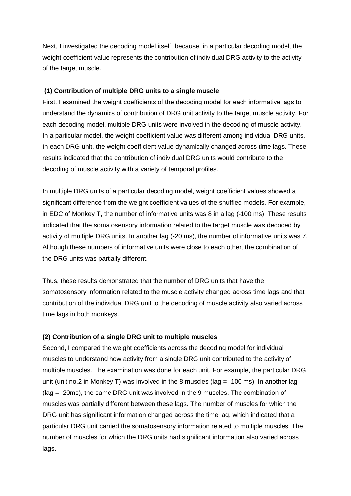Next, I investigated the decoding model itself, because, in a particular decoding model, the weight coefficient value represents the contribution of individual DRG activity to the activity of the target muscle.

### **(1) Contribution of multiple DRG units to a single muscle**

First, I examined the weight coefficients of the decoding model for each informative lags to understand the dynamics of contribution of DRG unit activity to the target muscle activity. For each decoding model, multiple DRG units were involved in the decoding of muscle activity. In a particular model, the weight coefficient value was different among individual DRG units. In each DRG unit, the weight coefficient value dynamically changed across time lags. These results indicated that the contribution of individual DRG units would contribute to the decoding of muscle activity with a variety of temporal profiles.

In multiple DRG units of a particular decoding model, weight coefficient values showed a significant difference from the weight coefficient values of the shuffled models. For example, in EDC of Monkey T, the number of informative units was 8 in a lag (-100 ms). These results indicated that the somatosensory information related to the target muscle was decoded by activity of multiple DRG units. In another lag (-20 ms), the number of informative units was 7. Although these numbers of informative units were close to each other, the combination of the DRG units was partially different.

Thus, these results demonstrated that the number of DRG units that have the somatosensory information related to the muscle activity changed across time lags and that contribution of the individual DRG unit to the decoding of muscle activity also varied across time lags in both monkeys.

### **(2) Contribution of a single DRG unit to multiple muscles**

Second, I compared the weight coefficients across the decoding model for individual muscles to understand how activity from a single DRG unit contributed to the activity of multiple muscles. The examination was done for each unit. For example, the particular DRG unit (unit no.2 in Monkey T) was involved in the 8 muscles ( $\text{lag} = -100 \text{ ms}$ ). In another lag (lag = -20ms), the same DRG unit was involved in the 9 muscles. The combination of muscles was partially different between these lags. The number of muscles for which the DRG unit has significant information changed across the time lag, which indicated that a particular DRG unit carried the somatosensory information related to multiple muscles. The number of muscles for which the DRG units had significant information also varied across lags.